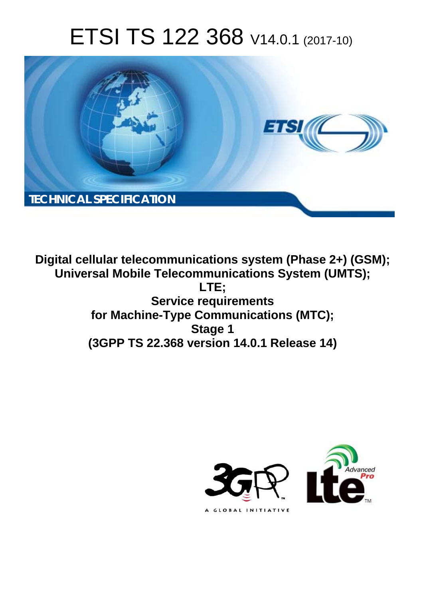# ETSI TS 122 368 V14.0.1 (2017-10)



**Digital cellular telecommunications system (Phase 2+) (GSM); Universal Mobile Telecommunications System (UMTS); LTE; Service requirements for Machine-Type Communications (MTC); Stage 1 (3GPP TS 22.368 version 14.0.1 Release 14)** 

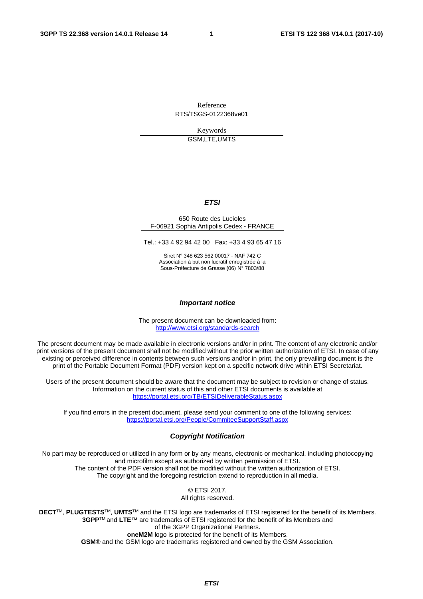Reference RTS/TSGS-0122368ve01

> Keywords GSM,LTE,UMTS

### *ETSI*

### 650 Route des Lucioles F-06921 Sophia Antipolis Cedex - FRANCE

Tel.: +33 4 92 94 42 00 Fax: +33 4 93 65 47 16

Siret N° 348 623 562 00017 - NAF 742 C Association à but non lucratif enregistrée à la Sous-Préfecture de Grasse (06) N° 7803/88

### *Important notice*

The present document can be downloaded from: <http://www.etsi.org/standards-search>

The present document may be made available in electronic versions and/or in print. The content of any electronic and/or print versions of the present document shall not be modified without the prior written authorization of ETSI. In case of any existing or perceived difference in contents between such versions and/or in print, the only prevailing document is the print of the Portable Document Format (PDF) version kept on a specific network drive within ETSI Secretariat.

Users of the present document should be aware that the document may be subject to revision or change of status. Information on the current status of this and other ETSI documents is available at <https://portal.etsi.org/TB/ETSIDeliverableStatus.aspx>

If you find errors in the present document, please send your comment to one of the following services: <https://portal.etsi.org/People/CommiteeSupportStaff.aspx>

### *Copyright Notification*

No part may be reproduced or utilized in any form or by any means, electronic or mechanical, including photocopying and microfilm except as authorized by written permission of ETSI. The content of the PDF version shall not be modified without the written authorization of ETSI. The copyright and the foregoing restriction extend to reproduction in all media.

> © ETSI 2017. All rights reserved.

**DECT**TM, **PLUGTESTS**TM, **UMTS**TM and the ETSI logo are trademarks of ETSI registered for the benefit of its Members. **3GPP**TM and **LTE**™ are trademarks of ETSI registered for the benefit of its Members and of the 3GPP Organizational Partners. **oneM2M** logo is protected for the benefit of its Members.

**GSM**® and the GSM logo are trademarks registered and owned by the GSM Association.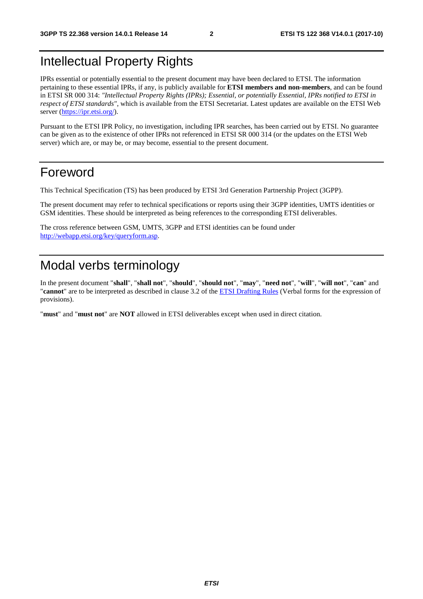# Intellectual Property Rights

IPRs essential or potentially essential to the present document may have been declared to ETSI. The information pertaining to these essential IPRs, if any, is publicly available for **ETSI members and non-members**, and can be found in ETSI SR 000 314: *"Intellectual Property Rights (IPRs); Essential, or potentially Essential, IPRs notified to ETSI in respect of ETSI standards"*, which is available from the ETSI Secretariat. Latest updates are available on the ETSI Web server ([https://ipr.etsi.org/\)](https://ipr.etsi.org/).

Pursuant to the ETSI IPR Policy, no investigation, including IPR searches, has been carried out by ETSI. No guarantee can be given as to the existence of other IPRs not referenced in ETSI SR 000 314 (or the updates on the ETSI Web server) which are, or may be, or may become, essential to the present document.

# Foreword

This Technical Specification (TS) has been produced by ETSI 3rd Generation Partnership Project (3GPP).

The present document may refer to technical specifications or reports using their 3GPP identities, UMTS identities or GSM identities. These should be interpreted as being references to the corresponding ETSI deliverables.

The cross reference between GSM, UMTS, 3GPP and ETSI identities can be found under [http://webapp.etsi.org/key/queryform.asp.](http://webapp.etsi.org/key/queryform.asp)

# Modal verbs terminology

In the present document "**shall**", "**shall not**", "**should**", "**should not**", "**may**", "**need not**", "**will**", "**will not**", "**can**" and "**cannot**" are to be interpreted as described in clause 3.2 of the [ETSI Drafting Rules](https://portal.etsi.org/Services/editHelp!/Howtostart/ETSIDraftingRules.aspx) (Verbal forms for the expression of provisions).

"**must**" and "**must not**" are **NOT** allowed in ETSI deliverables except when used in direct citation.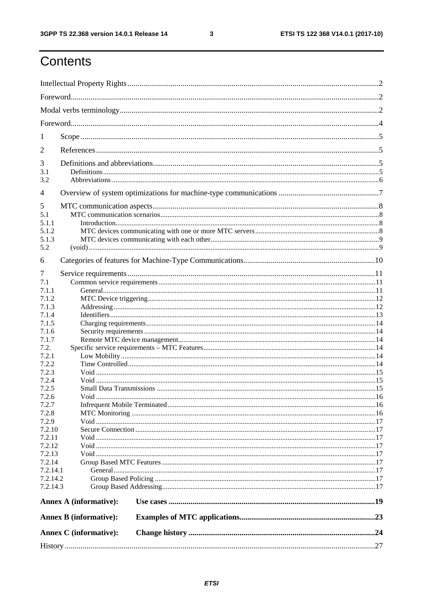$\mathbf{3}$ 

# Contents

| 1                                                     |                               |  |  |  |  |  |  |  |  |
|-------------------------------------------------------|-------------------------------|--|--|--|--|--|--|--|--|
| 2                                                     |                               |  |  |  |  |  |  |  |  |
| 3<br>3.1<br>3.2                                       |                               |  |  |  |  |  |  |  |  |
| $\overline{4}$                                        |                               |  |  |  |  |  |  |  |  |
| 5<br>5.1<br>5.1.1<br>5.1.2<br>5.1.3<br>5.2            |                               |  |  |  |  |  |  |  |  |
| 6                                                     |                               |  |  |  |  |  |  |  |  |
| 7<br>7.1<br>7.1.1<br>7.1.2<br>7.1.3<br>7.1.4<br>7.1.5 |                               |  |  |  |  |  |  |  |  |
| 7.1.6<br>7.1.7                                        |                               |  |  |  |  |  |  |  |  |
| 7.2.<br>7.2.1<br>7.2.2<br>7.2.3<br>7.2.4              |                               |  |  |  |  |  |  |  |  |
| 7.2.5<br>7.2.6<br>7.2.7<br>7.2.8                      |                               |  |  |  |  |  |  |  |  |
| 7.2.9<br>7.2.10<br>7.2.11                             |                               |  |  |  |  |  |  |  |  |
| 7.2.12<br>7.2.13                                      |                               |  |  |  |  |  |  |  |  |
| 7.2.14<br>7.2.14.1<br>7.2.14.2<br>7.2.14.3            |                               |  |  |  |  |  |  |  |  |
|                                                       | <b>Annex A (informative):</b> |  |  |  |  |  |  |  |  |
|                                                       | <b>Annex B (informative):</b> |  |  |  |  |  |  |  |  |
|                                                       | Annex C (informative):        |  |  |  |  |  |  |  |  |
|                                                       |                               |  |  |  |  |  |  |  |  |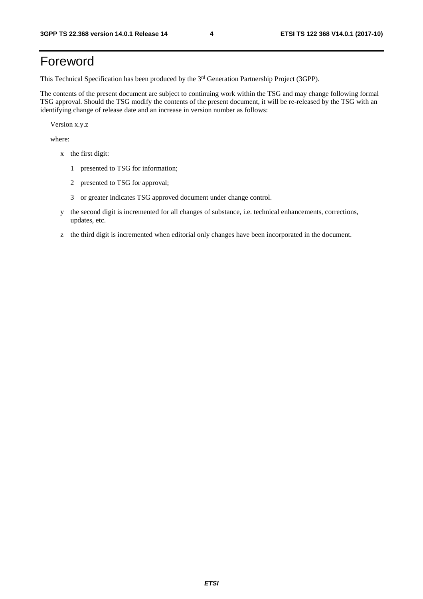# Foreword

This Technical Specification has been produced by the 3rd Generation Partnership Project (3GPP).

The contents of the present document are subject to continuing work within the TSG and may change following formal TSG approval. Should the TSG modify the contents of the present document, it will be re-released by the TSG with an identifying change of release date and an increase in version number as follows:

Version x.y.z

where:

- x the first digit:
	- 1 presented to TSG for information;
	- 2 presented to TSG for approval;
	- 3 or greater indicates TSG approved document under change control.
- y the second digit is incremented for all changes of substance, i.e. technical enhancements, corrections, updates, etc.
- z the third digit is incremented when editorial only changes have been incorporated in the document.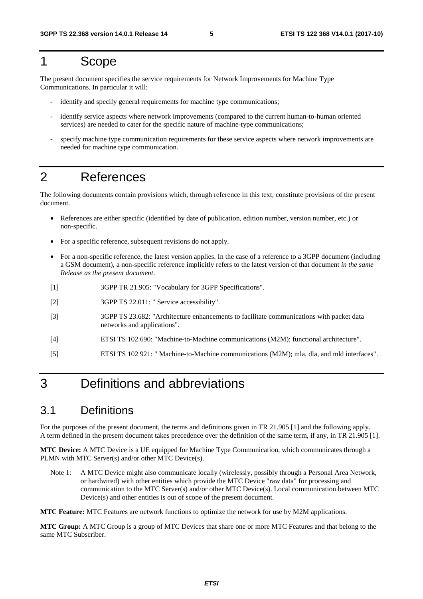# 1 Scope

The present document specifies the service requirements for Network Improvements for Machine Type Communications. In particular it will:

- identify and specify general requirements for machine type communications;
- identify service aspects where network improvements (compared to the current human-to-human oriented services) are needed to cater for the specific nature of machine-type communications;
- specify machine type communication requirements for these service aspects where network improvements are needed for machine type communication.

# 2 References

The following documents contain provisions which, through reference in this text, constitute provisions of the present document.

- References are either specific (identified by date of publication, edition number, version number, etc.) or non-specific.
- For a specific reference, subsequent revisions do not apply.
- For a non-specific reference, the latest version applies. In the case of a reference to a 3GPP document (including a GSM document), a non-specific reference implicitly refers to the latest version of that document *in the same Release as the present document*.
- [1] 3GPP TR 21.905: "Vocabulary for 3GPP Specifications".
- [2] 3GPP TS 22.011: " Service accessibility".
- [3] 3GPP TS 23.682: "Architecture enhancements to facilitate communications with packet data networks and applications".
- [4] ETSI TS 102 690: "Machine-to-Machine communications (M2M); functional architecture".
- [5] ETSI TS 102 921: " Machine-to-Machine communications (M2M); mla, dla, and mld interfaces".

# 3 Definitions and abbreviations

## 3.1 Definitions

For the purposes of the present document, the terms and definitions given in TR 21.905 [1] and the following apply. A term defined in the present document takes precedence over the definition of the same term, if any, in TR 21.905 [1].

**MTC Device:** A MTC Device is a UE equipped for Machine Type Communication, which communicates through a PLMN with MTC Server(s) and/or other MTC Device(s).

Note 1: A MTC Device might also communicate locally (wirelessly, possibly through a Personal Area Network, or hardwired) with other entities which provide the MTC Device "raw data" for processing and communication to the MTC Server(s) and/or other MTC Device(s). Local communication between MTC Device(s) and other entities is out of scope of the present document.

**MTC Feature:** MTC Features are network functions to optimize the network for use by M2M applications.

**MTC Group:** A MTC Group is a group of MTC Devices that share one or more MTC Features and that belong to the same MTC Subscriber.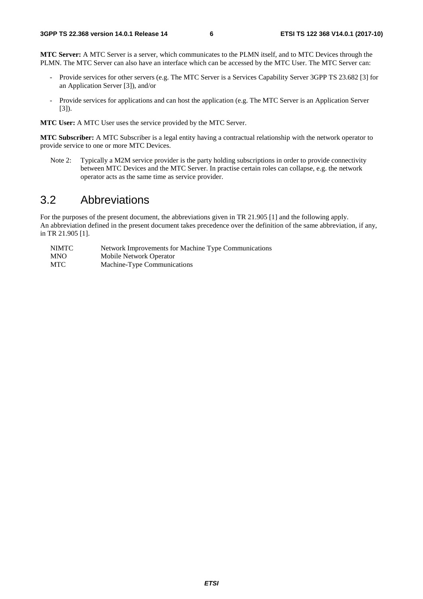**MTC Server:** A MTC Server is a server, which communicates to the PLMN itself, and to MTC Devices through the PLMN. The MTC Server can also have an interface which can be accessed by the MTC User. The MTC Server can:

- Provide services for other servers (e.g. The MTC Server is a Services Capability Server 3GPP TS 23.682 [3] for an Application Server [3]), and/or
- Provide services for applications and can host the application (e.g. The MTC Server is an Application Server [3]).

**MTC User:** A MTC User uses the service provided by the MTC Server.

**MTC Subscriber:** A MTC Subscriber is a legal entity having a contractual relationship with the network operator to provide service to one or more MTC Devices.

Note 2: Typically a M2M service provider is the party holding subscriptions in order to provide connectivity between MTC Devices and the MTC Server. In practise certain roles can collapse, e.g. the network operator acts as the same time as service provider.

# 3.2 Abbreviations

For the purposes of the present document, the abbreviations given in TR 21.905 [1] and the following apply. An abbreviation defined in the present document takes precedence over the definition of the same abbreviation, if any, in TR 21.905 [1].

| <b>NIMTC</b> | Network Improvements for Machine Type Communications |
|--------------|------------------------------------------------------|
| <b>MNO</b>   | Mobile Network Operator                              |
| <b>MTC</b>   | Machine-Type Communications                          |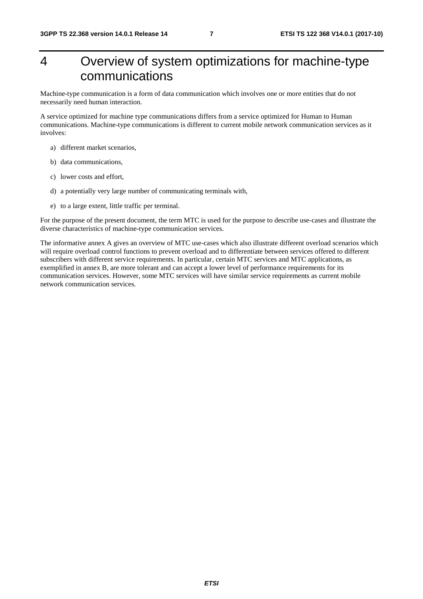# 4 Overview of system optimizations for machine-type communications

Machine-type communication is a form of data communication which involves one or more entities that do not necessarily need human interaction.

A service optimized for machine type communications differs from a service optimized for Human to Human communications. Machine-type communications is different to current mobile network communication services as it involves:

- a) different market scenarios,
- b) data communications,
- c) lower costs and effort,
- d) a potentially very large number of communicating terminals with,
- e) to a large extent, little traffic per terminal.

For the purpose of the present document, the term MTC is used for the purpose to describe use-cases and illustrate the diverse characteristics of machine-type communication services.

The informative annex A gives an overview of MTC use-cases which also illustrate different overload scenarios which will require overload control functions to prevent overload and to differentiate between services offered to different subscribers with different service requirements. In particular, certain MTC services and MTC applications, as exemplified in annex B, are more tolerant and can accept a lower level of performance requirements for its communication services. However, some MTC services will have similar service requirements as current mobile network communication services.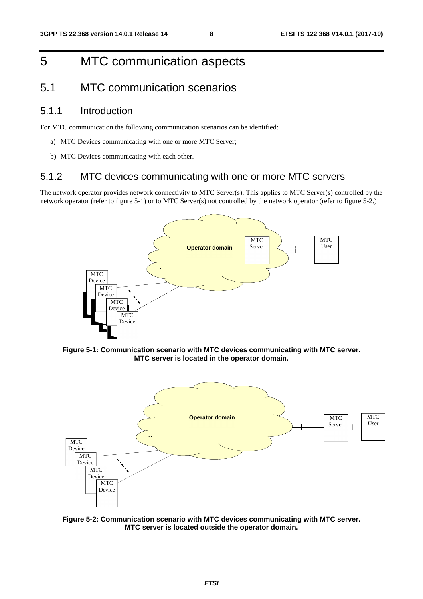# 5 MTC communication aspects

# 5.1 MTC communication scenarios

### 5.1.1 Introduction

For MTC communication the following communication scenarios can be identified:

- a) MTC Devices communicating with one or more MTC Server;
- b) MTC Devices communicating with each other.

### 5.1.2 MTC devices communicating with one or more MTC servers

The network operator provides network connectivity to MTC Server(s). This applies to MTC Server(s) controlled by the network operator (refer to figure 5-1) or to MTC Server(s) not controlled by the network operator (refer to figure 5-2.)



**Figure 5-1: Communication scenario with MTC devices communicating with MTC server. MTC server is located in the operator domain.** 



**Figure 5-2: Communication scenario with MTC devices communicating with MTC server. MTC server is located outside the operator domain.**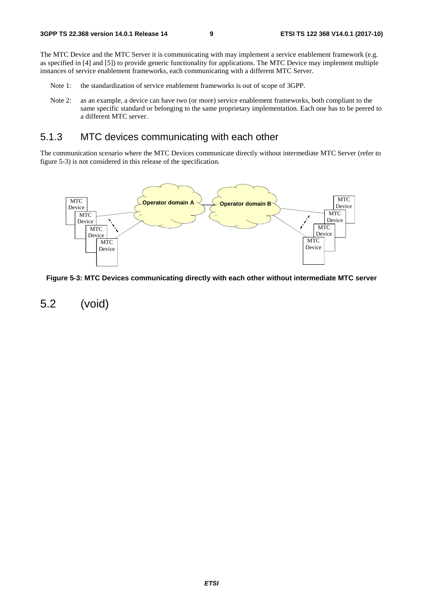The MTC Device and the MTC Server it is communicating with may implement a service enablement framework (e.g. as specified in [4] and [5]) to provide generic functionality for applications. The MTC Device may implement multiple instances of service enablement frameworks, each communicating with a different MTC Server.

- Note 1: the standardization of service enablement frameworks is out of scope of 3GPP.
- Note 2: as an example, a device can have two (or more) service enablement frameworks, both compliant to the same specific standard or belonging to the same proprietary implementation. Each one has to be peered to a different MTC server.

## 5.1.3 MTC devices communicating with each other

The communication scenario where the MTC Devices communicate directly without intermediate MTC Server (refer to figure 5-3) is not considered in this release of the specification.



**Figure 5-3: MTC Devices communicating directly with each other without intermediate MTC server** 

5.2 (void)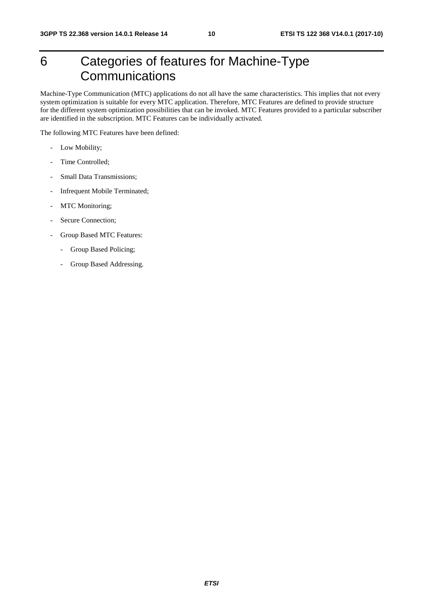# 6 Categories of features for Machine-Type **Communications**

Machine-Type Communication (MTC) applications do not all have the same characteristics. This implies that not every system optimization is suitable for every MTC application. Therefore, MTC Features are defined to provide structure for the different system optimization possibilities that can be invoked. MTC Features provided to a particular subscriber are identified in the subscription. MTC Features can be individually activated.

The following MTC Features have been defined:

- Low Mobility;
- Time Controlled:
- Small Data Transmissions;
- Infrequent Mobile Terminated;
- MTC Monitoring;
- Secure Connection;
- Group Based MTC Features:
	- Group Based Policing;
	- Group Based Addressing.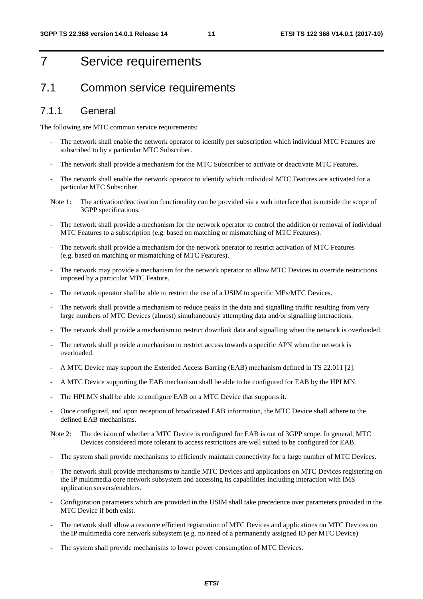# 7 Service requirements

## 7.1 Common service requirements

### 7.1.1 General

The following are MTC common service requirements:

- The network shall enable the network operator to identify per subscription which individual MTC Features are subscribed to by a particular MTC Subscriber.
- The network shall provide a mechanism for the MTC Subscriber to activate or deactivate MTC Features.
- The network shall enable the network operator to identify which individual MTC Features are activated for a particular MTC Subscriber.
- Note 1: The activation/deactivation functionality can be provided via a web interface that is outside the scope of 3GPP specifications.
- The network shall provide a mechanism for the network operator to control the addition or removal of individual MTC Features to a subscription (e.g. based on matching or mismatching of MTC Features).
- The network shall provide a mechanism for the network operator to restrict activation of MTC Features (e.g. based on matching or mismatching of MTC Features).
- The network may provide a mechanism for the network operator to allow MTC Devices to override restrictions imposed by a particular MTC Feature.
- The network operator shall be able to restrict the use of a USIM to specific MEs/MTC Devices.
- The network shall provide a mechanism to reduce peaks in the data and signalling traffic resulting from very large numbers of MTC Devices (almost) simultaneously attempting data and/or signalling interactions.
- The network shall provide a mechanism to restrict downlink data and signalling when the network is overloaded.
- The network shall provide a mechanism to restrict access towards a specific APN when the network is overloaded.
- A MTC Device may support the Extended Access Barring (EAB) mechanism defined in TS 22.011 [2].
- A MTC Device supporting the EAB mechanism shall be able to be configured for EAB by the HPLMN.
- The HPLMN shall be able to configure EAB on a MTC Device that supports it.
- Once configured, and upon reception of broadcasted EAB information, the MTC Device shall adhere to the defined EAB mechanisms.
- Note 2: The decision of whether a MTC Device is configured for EAB is out of 3GPP scope. In general, MTC Devices considered more tolerant to access restrictions are well suited to be configured for EAB.
- The system shall provide mechanisms to efficiently maintain connectivity for a large number of MTC Devices.
- The network shall provide mechanisms to handle MTC Devices and applications on MTC Devices registering on the IP multimedia core network subsystem and accessing its capabilities including interaction with IMS application servers/enablers.
- Configuration parameters which are provided in the USIM shall take precedence over parameters provided in the MTC Device if both exist.
- The network shall allow a resource efficient registration of MTC Devices and applications on MTC Devices on the IP multimedia core network subsystem (e.g. no need of a permanently assigned ID per MTC Device)
- The system shall provide mechanisms to lower power consumption of MTC Devices.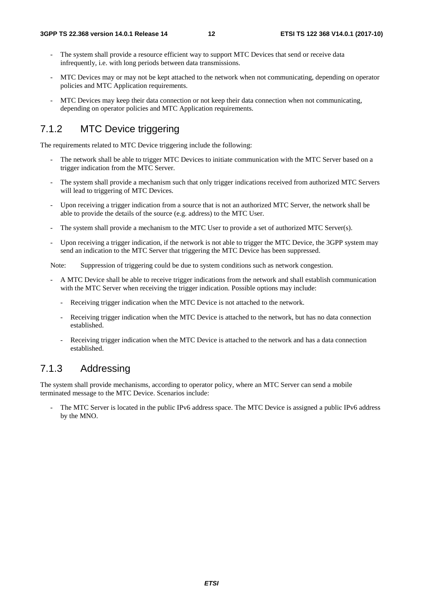- The system shall provide a resource efficient way to support MTC Devices that send or receive data infrequently, i.e. with long periods between data transmissions.
- MTC Devices may or may not be kept attached to the network when not communicating, depending on operator policies and MTC Application requirements.
- MTC Devices may keep their data connection or not keep their data connection when not communicating, depending on operator policies and MTC Application requirements.

## 7.1.2 MTC Device triggering

The requirements related to MTC Device triggering include the following:

- The network shall be able to trigger MTC Devices to initiate communication with the MTC Server based on a trigger indication from the MTC Server.
- The system shall provide a mechanism such that only trigger indications received from authorized MTC Servers will lead to triggering of MTC Devices.
- Upon receiving a trigger indication from a source that is not an authorized MTC Server, the network shall be able to provide the details of the source (e.g. address) to the MTC User.
- The system shall provide a mechanism to the MTC User to provide a set of authorized MTC Server(s).
- Upon receiving a trigger indication, if the network is not able to trigger the MTC Device, the 3GPP system may send an indication to the MTC Server that triggering the MTC Device has been suppressed.

Note: Suppression of triggering could be due to system conditions such as network congestion.

- A MTC Device shall be able to receive trigger indications from the network and shall establish communication with the MTC Server when receiving the trigger indication. Possible options may include:
	- Receiving trigger indication when the MTC Device is not attached to the network.
	- Receiving trigger indication when the MTC Device is attached to the network, but has no data connection established.
	- Receiving trigger indication when the MTC Device is attached to the network and has a data connection established.

## 7.1.3 Addressing

The system shall provide mechanisms, according to operator policy, where an MTC Server can send a mobile terminated message to the MTC Device. Scenarios include:

The MTC Server is located in the public IPv6 address space. The MTC Device is assigned a public IPv6 address by the MNO.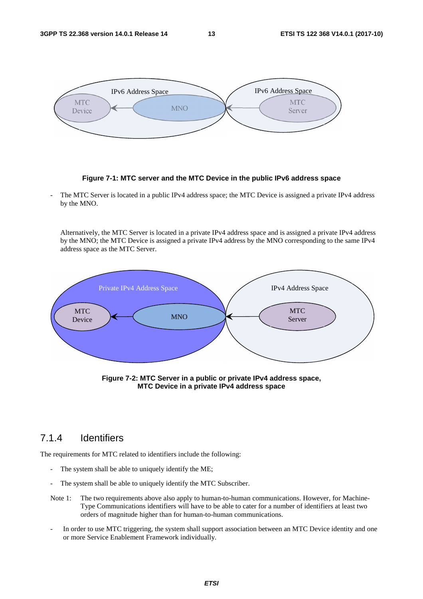

**Figure 7-1: MTC server and the MTC Device in the public IPv6 address space** 

The MTC Server is located in a public IPv4 address space; the MTC Device is assigned a private IPv4 address by the MNO.

Alternatively, the MTC Server is located in a private IPv4 address space and is assigned a private IPv4 address by the MNO; the MTC Device is assigned a private IPv4 address by the MNO corresponding to the same IPv4 address space as the MTC Server.



**Figure 7-2: MTC Server in a public or private IPv4 address space, MTC Device in a private IPv4 address space** 

### 7.1.4 Identifiers

The requirements for MTC related to identifiers include the following:

- The system shall be able to uniquely identify the ME;
- The system shall be able to uniquely identify the MTC Subscriber.
- Note 1: The two requirements above also apply to human-to-human communications. However, for Machine-Type Communications identifiers will have to be able to cater for a number of identifiers at least two orders of magnitude higher than for human-to-human communications.
- In order to use MTC triggering, the system shall support association between an MTC Device identity and one or more Service Enablement Framework individually.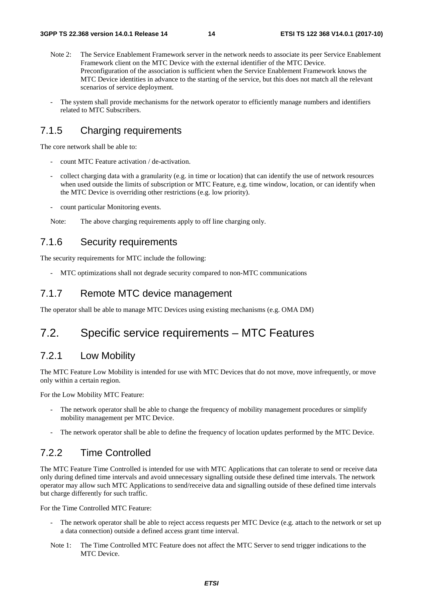- Note 2: The Service Enablement Framework server in the network needs to associate its peer Service Enablement Framework client on the MTC Device with the external identifier of the MTC Device. Preconfiguration of the association is sufficient when the Service Enablement Framework knows the MTC Device identities in advance to the starting of the service, but this does not match all the relevant scenarios of service deployment.
- The system shall provide mechanisms for the network operator to efficiently manage numbers and identifiers related to MTC Subscribers.

## 7.1.5 Charging requirements

The core network shall be able to:

- count MTC Feature activation / de-activation.
- collect charging data with a granularity (e.g. in time or location) that can identify the use of network resources when used outside the limits of subscription or MTC Feature, e.g. time window, location, or can identify when the MTC Device is overriding other restrictions (e.g. low priority).
- count particular Monitoring events.

Note: The above charging requirements apply to off line charging only.

### 7.1.6 Security requirements

The security requirements for MTC include the following:

MTC optimizations shall not degrade security compared to non-MTC communications

### 7.1.7 Remote MTC device management

The operator shall be able to manage MTC Devices using existing mechanisms (e.g. OMA DM)

## 7.2. Specific service requirements – MTC Features

## 7.2.1 Low Mobility

The MTC Feature Low Mobility is intended for use with MTC Devices that do not move, move infrequently, or move only within a certain region.

For the Low Mobility MTC Feature:

- The network operator shall be able to change the frequency of mobility management procedures or simplify mobility management per MTC Device.
- The network operator shall be able to define the frequency of location updates performed by the MTC Device.

## 7.2.2 Time Controlled

The MTC Feature Time Controlled is intended for use with MTC Applications that can tolerate to send or receive data only during defined time intervals and avoid unnecessary signalling outside these defined time intervals. The network operator may allow such MTC Applications to send/receive data and signalling outside of these defined time intervals but charge differently for such traffic.

For the Time Controlled MTC Feature:

- The network operator shall be able to reject access requests per MTC Device (e.g. attach to the network or set up a data connection) outside a defined access grant time interval.
- Note 1: The Time Controlled MTC Feature does not affect the MTC Server to send trigger indications to the MTC Device.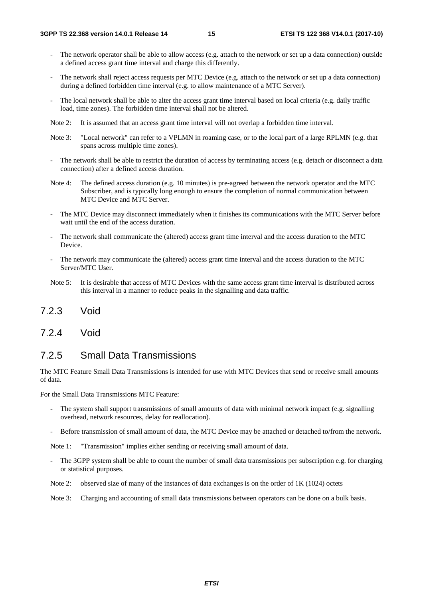- The network operator shall be able to allow access (e.g. attach to the network or set up a data connection) outside a defined access grant time interval and charge this differently.
- The network shall reject access requests per MTC Device (e.g. attach to the network or set up a data connection) during a defined forbidden time interval (e.g. to allow maintenance of a MTC Server).
- The local network shall be able to alter the access grant time interval based on local criteria (e.g. daily traffic load, time zones). The forbidden time interval shall not be altered.
- Note 2: It is assumed that an access grant time interval will not overlap a forbidden time interval.
- Note 3: "Local network" can refer to a VPLMN in roaming case, or to the local part of a large RPLMN (e.g. that spans across multiple time zones).
- The network shall be able to restrict the duration of access by terminating access (e.g. detach or disconnect a data connection) after a defined access duration.
- Note 4: The defined access duration (e.g. 10 minutes) is pre-agreed between the network operator and the MTC Subscriber, and is typically long enough to ensure the completion of normal communication between MTC Device and MTC Server.
- The MTC Device may disconnect immediately when it finishes its communications with the MTC Server before wait until the end of the access duration.
- The network shall communicate the (altered) access grant time interval and the access duration to the MTC Device.
- The network may communicate the (altered) access grant time interval and the access duration to the MTC Server/MTC User.
- Note 5: It is desirable that access of MTC Devices with the same access grant time interval is distributed across this interval in a manner to reduce peaks in the signalling and data traffic.
- 7.2.3 Void
- 7.2.4 Void

## 7.2.5 Small Data Transmissions

The MTC Feature Small Data Transmissions is intended for use with MTC Devices that send or receive small amounts of data.

For the Small Data Transmissions MTC Feature:

- The system shall support transmissions of small amounts of data with minimal network impact (e.g. signalling overhead, network resources, delay for reallocation).
- Before transmission of small amount of data, the MTC Device may be attached or detached to/from the network.

Note 1: "Transmission" implies either sending or receiving small amount of data.

- The 3GPP system shall be able to count the number of small data transmissions per subscription e.g. for charging or statistical purposes.
- Note 2: observed size of many of the instances of data exchanges is on the order of 1K (1024) octets
- Note 3: Charging and accounting of small data transmissions between operators can be done on a bulk basis.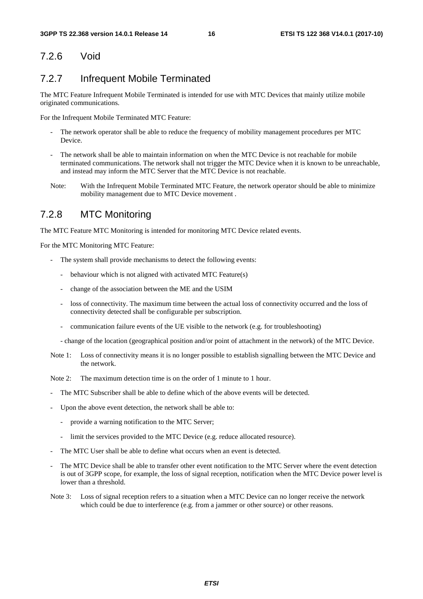### 7.2.6 Void

## 7.2.7 Infrequent Mobile Terminated

The MTC Feature Infrequent Mobile Terminated is intended for use with MTC Devices that mainly utilize mobile originated communications.

For the Infrequent Mobile Terminated MTC Feature:

- The network operator shall be able to reduce the frequency of mobility management procedures per MTC Device.
- The network shall be able to maintain information on when the MTC Device is not reachable for mobile terminated communications. The network shall not trigger the MTC Device when it is known to be unreachable, and instead may inform the MTC Server that the MTC Device is not reachable.
- Note: With the Infrequent Mobile Terminated MTC Feature, the network operator should be able to minimize mobility management due to MTC Device movement .

## 7.2.8 MTC Monitoring

The MTC Feature MTC Monitoring is intended for monitoring MTC Device related events.

For the MTC Monitoring MTC Feature:

- The system shall provide mechanisms to detect the following events:
	- behaviour which is not aligned with activated MTC Feature(s)
	- change of the association between the ME and the USIM
	- loss of connectivity. The maximum time between the actual loss of connectivity occurred and the loss of connectivity detected shall be configurable per subscription.
	- communication failure events of the UE visible to the network (e.g. for troubleshooting)

- change of the location (geographical position and/or point of attachment in the network) of the MTC Device.

Note 1: Loss of connectivity means it is no longer possible to establish signalling between the MTC Device and the network.

Note 2: The maximum detection time is on the order of 1 minute to 1 hour.

- The MTC Subscriber shall be able to define which of the above events will be detected.
- Upon the above event detection, the network shall be able to:
	- provide a warning notification to the MTC Server;
	- limit the services provided to the MTC Device (e.g. reduce allocated resource).
- The MTC User shall be able to define what occurs when an event is detected.
- The MTC Device shall be able to transfer other event notification to the MTC Server where the event detection is out of 3GPP scope, for example, the loss of signal reception, notification when the MTC Device power level is lower than a threshold.
- Note 3: Loss of signal reception refers to a situation when a MTC Device can no longer receive the network which could be due to interference (e.g. from a jammer or other source) or other reasons.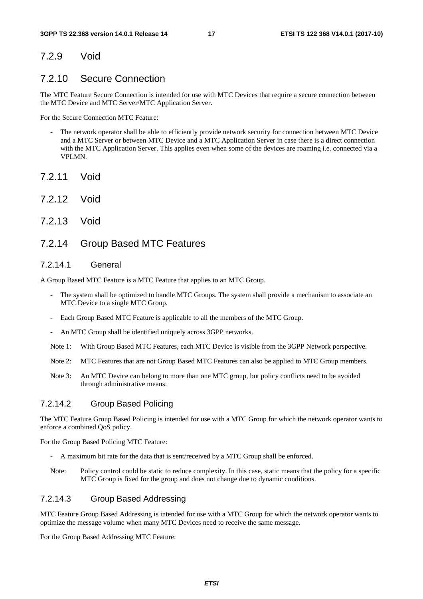### 7.2.9 Void

### 7.2.10 Secure Connection

The MTC Feature Secure Connection is intended for use with MTC Devices that require a secure connection between the MTC Device and MTC Server/MTC Application Server.

For the Secure Connection MTC Feature:

- The network operator shall be able to efficiently provide network security for connection between MTC Device and a MTC Server or between MTC Device and a MTC Application Server in case there is a direct connection with the MTC Application Server. This applies even when some of the devices are roaming i.e. connected via a VPLMN.
- 7.2.11 Void
- 7.2.12 Void
- 7.2.13 Void

### 7.2.14 Group Based MTC Features

### 7.2.14.1 General

A Group Based MTC Feature is a MTC Feature that applies to an MTC Group.

- The system shall be optimized to handle MTC Groups. The system shall provide a mechanism to associate an MTC Device to a single MTC Group.
- Each Group Based MTC Feature is applicable to all the members of the MTC Group.
- An MTC Group shall be identified uniquely across 3GPP networks.
- Note 1: With Group Based MTC Features, each MTC Device is visible from the 3GPP Network perspective.
- Note 2: MTC Features that are not Group Based MTC Features can also be applied to MTC Group members.
- Note 3: An MTC Device can belong to more than one MTC group, but policy conflicts need to be avoided through administrative means.

### 7.2.14.2 Group Based Policing

The MTC Feature Group Based Policing is intended for use with a MTC Group for which the network operator wants to enforce a combined QoS policy.

For the Group Based Policing MTC Feature:

- A maximum bit rate for the data that is sent/received by a MTC Group shall be enforced.
- Note: Policy control could be static to reduce complexity. In this case, static means that the policy for a specific MTC Group is fixed for the group and does not change due to dynamic conditions.

### 7.2.14.3 Group Based Addressing

MTC Feature Group Based Addressing is intended for use with a MTC Group for which the network operator wants to optimize the message volume when many MTC Devices need to receive the same message.

For the Group Based Addressing MTC Feature: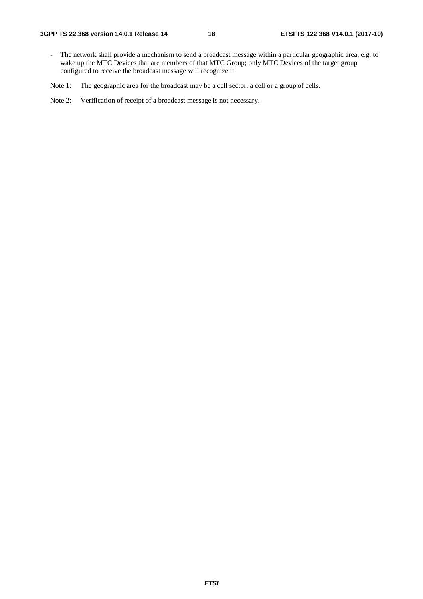- The network shall provide a mechanism to send a broadcast message within a particular geographic area, e.g. to wake up the MTC Devices that are members of that MTC Group; only MTC Devices of the target group configured to receive the broadcast message will recognize it.

Note 1: The geographic area for the broadcast may be a cell sector, a cell or a group of cells.

Note 2: Verification of receipt of a broadcast message is not necessary.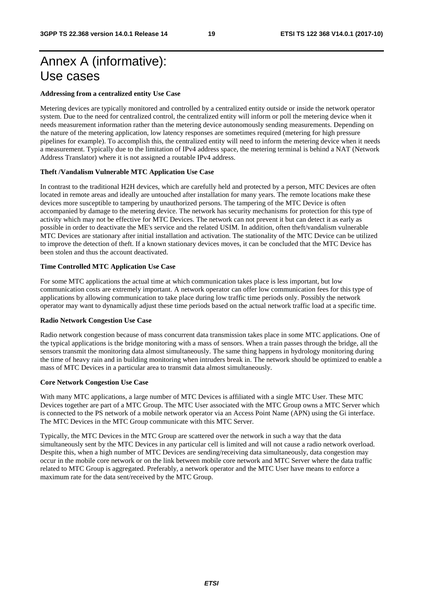# Annex A (informative): Use cases

### **Addressing from a centralized entity Use Case**

Metering devices are typically monitored and controlled by a centralized entity outside or inside the network operator system. Due to the need for centralized control, the centralized entity will inform or poll the metering device when it needs measurement information rather than the metering device autonomously sending measurements. Depending on the nature of the metering application, low latency responses are sometimes required (metering for high pressure pipelines for example). To accomplish this, the centralized entity will need to inform the metering device when it needs a measurement. Typically due to the limitation of IPv4 address space, the metering terminal is behind a NAT (Network Address Translator) where it is not assigned a routable IPv4 address.

### **Theft /Vandalism Vulnerable MTC Application Use Case**

In contrast to the traditional H2H devices, which are carefully held and protected by a person, MTC Devices are often located in remote areas and ideally are untouched after installation for many years. The remote locations make these devices more susceptible to tampering by unauthorized persons. The tampering of the MTC Device is often accompanied by damage to the metering device. The network has security mechanisms for protection for this type of activity which may not be effective for MTC Devices. The network can not prevent it but can detect it as early as possible in order to deactivate the ME's service and the related USIM. In addition, often theft/vandalism vulnerable MTC Devices are stationary after initial installation and activation. The stationality of the MTC Device can be utilized to improve the detection of theft. If a known stationary devices moves, it can be concluded that the MTC Device has been stolen and thus the account deactivated.

### **Time Controlled MTC Application Use Case**

For some MTC applications the actual time at which communication takes place is less important, but low communication costs are extremely important. A network operator can offer low communication fees for this type of applications by allowing communication to take place during low traffic time periods only. Possibly the network operator may want to dynamically adjust these time periods based on the actual network traffic load at a specific time.

### **Radio Network Congestion Use Case**

Radio network congestion because of mass concurrent data transmission takes place in some MTC applications. One of the typical applications is the bridge monitoring with a mass of sensors. When a train passes through the bridge, all the sensors transmit the monitoring data almost simultaneously. The same thing happens in hydrology monitoring during the time of heavy rain and in building monitoring when intruders break in. The network should be optimized to enable a mass of MTC Devices in a particular area to transmit data almost simultaneously.

### **Core Network Congestion Use Case**

With many MTC applications, a large number of MTC Devices is affiliated with a single MTC User. These MTC Devices together are part of a MTC Group. The MTC User associated with the MTC Group owns a MTC Server which is connected to the PS network of a mobile network operator via an Access Point Name (APN) using the Gi interface. The MTC Devices in the MTC Group communicate with this MTC Server.

Typically, the MTC Devices in the MTC Group are scattered over the network in such a way that the data simultaneously sent by the MTC Devices in any particular cell is limited and will not cause a radio network overload. Despite this, when a high number of MTC Devices are sending/receiving data simultaneously, data congestion may occur in the mobile core network or on the link between mobile core network and MTC Server where the data traffic related to MTC Group is aggregated. Preferably, a network operator and the MTC User have means to enforce a maximum rate for the data sent/received by the MTC Group.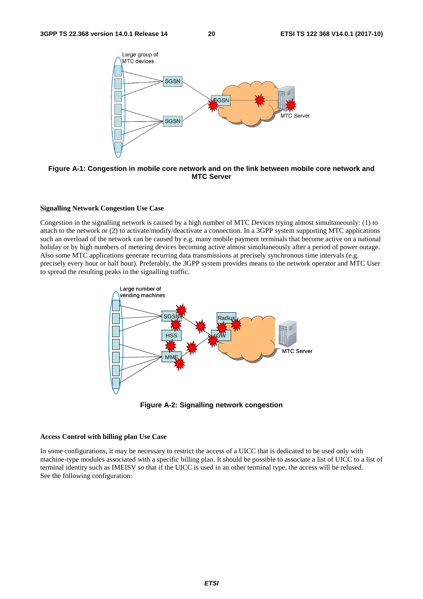

**Figure A-1: Congestion in mobile core network and on the link between mobile core network and MTC Server** 

### **Signalling Network Congestion Use Case**

Congestion in the signalling network is caused by a high number of MTC Devices trying almost simultaneously: (1) to attach to the network or (2) to activate/modify/deactivate a connection. In a 3GPP system supporting MTC applications such an overload of the network can be caused by e.g. many mobile payment terminals that become active on a national holiday or by high numbers of metering devices becoming active almost simultaneously after a period of power outage. Also some MTC applications generate recurring data transmissions at precisely synchronous time intervals (e.g. precisely every hour or half hour). Preferably, the 3GPP system provides means to the network operator and MTC User to spread the resulting peaks in the signalling traffic.



**Figure A-2: Signalling network congestion** 

### **Access Control with billing plan Use Case**

In some configurations, it may be necessary to restrict the access of a UICC that is dedicated to be used only with machine-type modules associated with a specific billing plan. It should be possible to associate a list of UICC to a list of terminal identity such as IMEISV so that if the UICC is used in an other terminal type, the access will be refused. See the following configuration: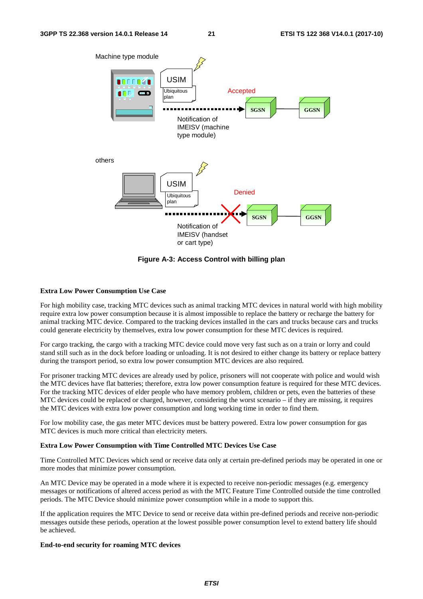

**Figure A-3: Access Control with billing plan** 

### **Extra Low Power Consumption Use Case**

For high mobility case, tracking MTC devices such as animal tracking MTC devices in natural world with high mobility require extra low power consumption because it is almost impossible to replace the battery or recharge the battery for animal tracking MTC device. Compared to the tracking devices installed in the cars and trucks because cars and trucks could generate electricity by themselves, extra low power consumption for these MTC devices is required.

For cargo tracking, the cargo with a tracking MTC device could move very fast such as on a train or lorry and could stand still such as in the dock before loading or unloading. It is not desired to either change its battery or replace battery during the transport period, so extra low power consumption MTC devices are also required.

For prisoner tracking MTC devices are already used by police, prisoners will not cooperate with police and would wish the MTC devices have flat batteries; therefore, extra low power consumption feature is required for these MTC devices. For the tracking MTC devices of elder people who have memory problem, children or pets, even the batteries of these MTC devices could be replaced or charged, however, considering the worst scenario – if they are missing, it requires the MTC devices with extra low power consumption and long working time in order to find them.

For low mobility case, the gas meter MTC devices must be battery powered. Extra low power consumption for gas MTC devices is much more critical than electricity meters.

### **Extra Low Power Consumption with Time Controlled MTC Devices Use Case**

Time Controlled MTC Devices which send or receive data only at certain pre-defined periods may be operated in one or more modes that minimize power consumption.

An MTC Device may be operated in a mode where it is expected to receive non-periodic messages (e.g. emergency messages or notifications of altered access period as with the MTC Feature Time Controlled outside the time controlled periods. The MTC Device should minimize power consumption while in a mode to support this.

If the application requires the MTC Device to send or receive data within pre-defined periods and receive non-periodic messages outside these periods, operation at the lowest possible power consumption level to extend battery life should be achieved.

### **End-to-end security for roaming MTC devices**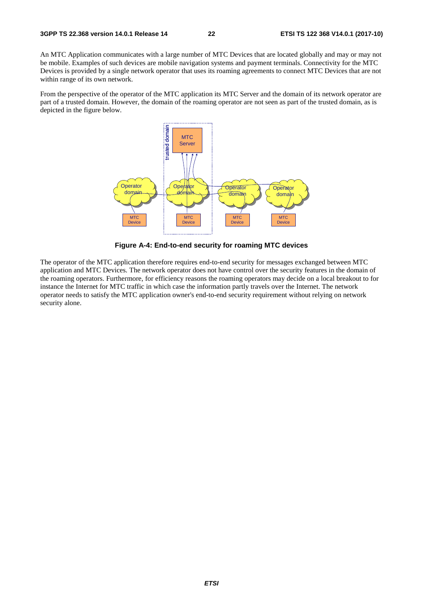An MTC Application communicates with a large number of MTC Devices that are located globally and may or may not be mobile. Examples of such devices are mobile navigation systems and payment terminals. Connectivity for the MTC Devices is provided by a single network operator that uses its roaming agreements to connect MTC Devices that are not within range of its own network.

From the perspective of the operator of the MTC application its MTC Server and the domain of its network operator are part of a trusted domain. However, the domain of the roaming operator are not seen as part of the trusted domain, as is depicted in the figure below.



**Figure A-4: End-to-end security for roaming MTC devices** 

The operator of the MTC application therefore requires end-to-end security for messages exchanged between MTC application and MTC Devices. The network operator does not have control over the security features in the domain of the roaming operators. Furthermore, for efficiency reasons the roaming operators may decide on a local breakout to for instance the Internet for MTC traffic in which case the information partly travels over the Internet. The network operator needs to satisfy the MTC application owner's end-to-end security requirement without relying on network security alone.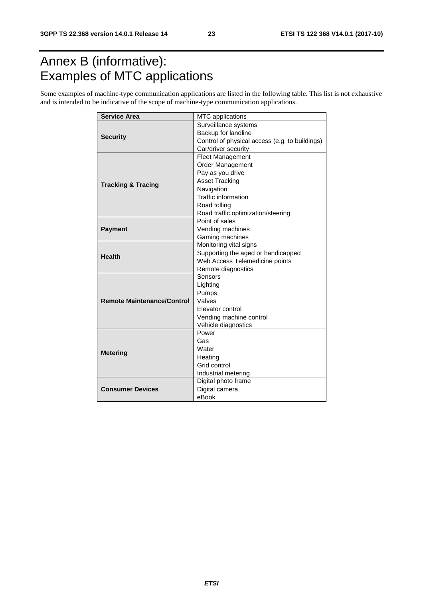# Annex B (informative): Examples of MTC applications

Some examples of machine-type communication applications are listed in the following table. This list is not exhaustive and is intended to be indicative of the scope of machine-type communication applications.

| <b>Service Area</b>               | MTC applications                               |  |  |  |  |
|-----------------------------------|------------------------------------------------|--|--|--|--|
|                                   | Surveillance systems                           |  |  |  |  |
|                                   | Backup for landline                            |  |  |  |  |
| <b>Security</b>                   | Control of physical access (e.g. to buildings) |  |  |  |  |
|                                   | Car/driver security                            |  |  |  |  |
|                                   | <b>Fleet Management</b>                        |  |  |  |  |
|                                   | Order Management                               |  |  |  |  |
|                                   | Pay as you drive                               |  |  |  |  |
|                                   | <b>Asset Tracking</b>                          |  |  |  |  |
| <b>Tracking &amp; Tracing</b>     | Navigation                                     |  |  |  |  |
|                                   | Traffic information                            |  |  |  |  |
|                                   | Road tolling                                   |  |  |  |  |
|                                   | Road traffic optimization/steering             |  |  |  |  |
|                                   | Point of sales                                 |  |  |  |  |
| <b>Payment</b>                    | Vending machines                               |  |  |  |  |
|                                   | Gaming machines                                |  |  |  |  |
|                                   | Monitoring vital signs                         |  |  |  |  |
| <b>Health</b>                     | Supporting the aged or handicapped             |  |  |  |  |
|                                   | Web Access Telemedicine points                 |  |  |  |  |
|                                   | Remote diagnostics                             |  |  |  |  |
|                                   | Sensors                                        |  |  |  |  |
|                                   | Lighting                                       |  |  |  |  |
|                                   | Pumps                                          |  |  |  |  |
| <b>Remote Maintenance/Control</b> | Valves                                         |  |  |  |  |
|                                   | Elevator control                               |  |  |  |  |
|                                   | Vending machine control                        |  |  |  |  |
|                                   | Vehicle diagnostics                            |  |  |  |  |
|                                   | Power                                          |  |  |  |  |
|                                   | Gas                                            |  |  |  |  |
| <b>Metering</b>                   | Water                                          |  |  |  |  |
|                                   | Heating                                        |  |  |  |  |
|                                   | Grid control                                   |  |  |  |  |
|                                   | Industrial metering                            |  |  |  |  |
|                                   | Digital photo frame                            |  |  |  |  |
| <b>Consumer Devices</b>           | Digital camera                                 |  |  |  |  |
|                                   | eBook                                          |  |  |  |  |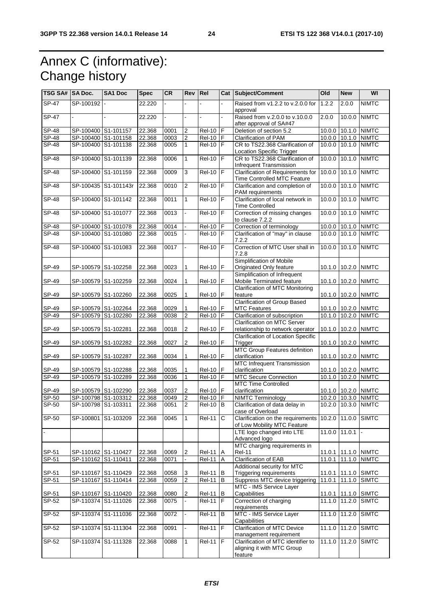# Annex C (informative): Change history

| TSG SA#   SA Doc.         |                                  | SA1 Doc              | <b>Spec</b> | <b>CR</b>    | Rev Rel        |               |              | Cat Subject/Comment                                                         | Old    | <b>New</b>                           | WI                  |
|---------------------------|----------------------------------|----------------------|-------------|--------------|----------------|---------------|--------------|-----------------------------------------------------------------------------|--------|--------------------------------------|---------------------|
| $SP-47$                   | SP-100192                        |                      | 22.220      |              |                |               |              | Raised from v1.2.2 to v.2.0.0 for<br>approval                               | 1.2.2  | 2.0.0                                | <b>NIMTC</b>        |
| $SP-47$                   |                                  |                      | 22.220      |              |                |               |              | Raised from v.2.0.0 to v.10.0.0<br>after approval of SA#47                  | 2.0.0  | 10.0.0                               | <b>NIMTC</b>        |
| SP-48                     | SP-100400 S1-101157              |                      | 22.368      | 0001         | 2              | <b>Rel-10</b> | IF           | Deletion of section 5.2                                                     | 10.0.0 |                                      | 10.1.0 NIMTC        |
| <b>SP-48</b>              | SP-100400 S1-101158              |                      | 22.368      | 0003         | $\overline{2}$ | <b>Rel-10</b> | F            | <b>Clarification of PAM</b>                                                 |        |                                      | 10.0.0 10.1.0 NIMTC |
| <b>SP-48</b>              | SP-100400 S1-101138              |                      | 22.368      | 0005         | $\mathbf{1}$   | $Rel-10$ $F$  |              | CR to TS22.368 Clarification of                                             | 10.0.0 | 10.1.0                               | <b>NIMTC</b>        |
|                           |                                  |                      |             |              |                |               |              | <b>Location Specific Trigger</b>                                            |        |                                      |                     |
| <b>SP-48</b>              | SP-100400 S1-101139              |                      | 22.368      | 0006         | $\mathbf{1}$   | $Rel-10$ $F$  |              | CR to TS22.368 Clarification of<br>Infrequent Transmission                  | 10.0.0 | 10.1.0                               | <b>NIMTC</b>        |
| <b>SP-48</b>              | SP-100400 S1-101159              |                      | 22.368      | 0009         | 3              | <b>Rel-10</b> | IF           | Clarification of Requirements for<br>Time Controlled MTC Feature            | 10.0.0 | 10.1.0                               | <b>NIMTC</b>        |
| <b>SP-48</b>              |                                  | SP-100435 S1-101143r | 22.368      | 0010         | 2              | $Rel-10$ $F$  |              | Clarification and completion of<br>PAM requirements                         | 10.0.0 |                                      | 10.1.0 NIMTC        |
| <b>SP-48</b>              | SP-100400 S1-101142              |                      | 22.368      | 0011         | $\mathbf{1}$   | <b>Rel-10</b> | İF           | Clarification of local network in<br><b>Time Controlled</b>                 | 10.0.0 | 10.1.0                               | <b>NIMTC</b>        |
| <b>SP-48</b>              | SP-100400                        | S1-101077            | 22.368      | 0013         |                | <b>Rel-10</b> | F            | Correction of missing changes<br>to clause 7.2.2                            | 10.00  | 10.1.0                               | <b>NIMTC</b>        |
| <b>SP-48</b>              | SP-100400 S1-101078              |                      | 22.368      | 0014         |                | $ReI-10$      | F            | Correction of terminology                                                   | 10.0.0 | 10.1.0                               | <b>NIMTC</b>        |
| $\overline{\text{SP-48}}$ | SP-100400 S1-101080              |                      | 22.368      | 0015         |                | <b>Rel-10</b> | F            | Clarification of "may" in clause<br>7.2.2                                   | 10.0.0 | 10.1.0                               | <b>NIMTC</b>        |
| <b>SP-48</b>              | SP-100400                        | S1-101083            | 22.368      | 0017         |                | <b>Rel-10</b> | F            | Correction of MTC User shall in<br>7.2.8                                    | 10.00  | 10.1.0                               | <b>NIMTC</b>        |
| SP-49                     | SP-100579 S1-102258              |                      | 22.368      | 0023         | $\mathbf{1}$   | $Rel-10$ $F$  |              | Simplification of Mobile<br>Originated Only feature                         |        |                                      | 10.1.0 10.2.0 NIMTC |
| SP-49                     |                                  | SP-100579 S1-102259  | 22.368      | 0024         | 1              | <b>Rel-10</b> | F            | Simplification of Infrequent<br>Mobile Terminated feature                   |        | 10.1.0 10.2.0                        | <b>NIMTC</b>        |
|                           |                                  |                      |             |              |                |               |              | <b>Clarification of MTC Monitoring</b>                                      |        |                                      |                     |
| SP-49                     | SP-100579 S1-102260              |                      | 22.368      | 0025         | 1              | <b>Rel-10</b> | F            | feature<br><b>Clarification of Group Based</b>                              |        |                                      | 10.1.0 10.2.0 NIMTC |
| SP-49                     |                                  | SP-100579 S1-102264  | 22.368      | 0029         | 1              | <b>Rel-10</b> | F            | <b>MTC Features</b>                                                         |        |                                      | 10.1.0 10.2.0 NIMTC |
| SP-49                     |                                  | SP-100579 S1-102280  | 22.368      | 0038         | $\overline{c}$ | <b>Rel-10</b> | İF           | Clarification of subscription                                               |        |                                      | 10.1.0 10.2.0 NIMTC |
|                           |                                  |                      |             |              |                |               |              | Clarification on MTC Server                                                 |        |                                      |                     |
| SP-49                     | SP-100579 S1-102281              |                      | 22.368      | 0018         | $\overline{c}$ | <b>Rel-10</b> | F            | relationship to network operator                                            |        |                                      | 10.1.0 10.2.0 NIMTC |
| SP-49                     |                                  | SP-100579 S1-102282  | 22.368      | 0027         | $\overline{2}$ | Rel-10 F      |              | Clarification of Location Specific<br>Trigger                               |        |                                      | 10.1.0 10.2.0 NIMTC |
| SP-49                     | SP-100579 S1-102287              |                      | 22.368      | 0034         | 1              | Rel-10 F      |              | <b>MTC Group Features definition</b><br>clarification                       |        |                                      | 10.1.0 10.2.0 NIMTC |
|                           |                                  |                      |             |              |                |               |              | <b>MTC Infrequent Transmission</b>                                          |        |                                      |                     |
| SP-49<br>SP-49            | SP-100579 S1-102288<br>SP-100579 | S1-102289            | 22.368      | 0035<br>0036 | 1<br>1         | $Rel-10$ $F$  | F            | clarification<br><b>MTC Secure Connection</b>                               |        | 10.1.0 10.2.0 NIMTC<br>10.1.0 10.2.0 | <b>NIMTC</b>        |
|                           |                                  |                      | 22.368      |              |                | <b>Rel-10</b> |              | MTC Time Controlled                                                         |        |                                      |                     |
| SP-49                     |                                  | SP-100579 S1-102290  | 22.368      | 0037         | 2              | Rel-10   F    |              | clarification                                                               |        |                                      | 10.1.0 10.2.0 NIMTC |
| SP-50                     | SP-100798 S1-103312              |                      | 22.368      | 0049         | $\overline{2}$ | <b>Rel-10</b> | F            | <b>NIMTC Terminology</b>                                                    | 10.2.0 |                                      | 10.3.0 NIMTC        |
| SP-50                     | SP-100798 S1-103311              |                      | 22.368      | 0051         | $\overline{2}$ | <b>Rel-10</b> | B            | Clarification of data delay in                                              | 10.2.0 |                                      | 10.3.0 NIMTC        |
| SP-50                     | SP-100801                        | S1-103209            | 22.368      | 0045         | $\mathbf{1}$   | <b>Rel-11</b> | $\mathsf{C}$ | case of Overload<br>Clarification on the requirements                       |        | 10.2.0 11.0.0                        | <b>SIMTC</b>        |
|                           |                                  |                      |             |              |                |               |              | of Low Mobility MTC Feature<br>LTE logo changed into LTE                    |        | 11.0.0 11.0.1                        |                     |
|                           |                                  |                      |             |              |                |               |              | Advanced logo                                                               |        |                                      |                     |
| SP-51                     | SP-110162 S1-110427              |                      | 22.368      | 0069         | $\overline{2}$ | <b>Rel-11</b> | A            | MTC charging requirements in<br><b>Rel-11</b>                               |        |                                      | 11.0.1 11.1.0 NIMTC |
| SP-51                     | SP-110162 S1-110411              |                      | 22.368      | 0071         |                | Rel-11        | A            | <b>Clarification of EAB</b>                                                 | 11.0.1 |                                      | 11.1.0 NIMTC        |
|                           |                                  |                      |             |              |                |               |              | Additional security for MTC                                                 |        |                                      |                     |
| SP-51                     |                                  | SP-110167 S1-110429  | 22.368      | 0058         | 3              | <b>Rel-11</b> | В            | <b>Triggering requirements</b>                                              |        | 11.0.1 11.1.0                        | <b>SIMTC</b>        |
| SP-51                     |                                  | SP-110167 S1-110414  | 22.368      | 0059         | $\overline{2}$ | Rel-11        | B            | Suppress MTC device triggering                                              | 11.0.1 | 11.1.0                               | <b>SIMTC</b>        |
|                           |                                  |                      |             |              |                |               |              | MTC - IMS Service Layer                                                     |        |                                      |                     |
| SP-51                     |                                  | SP-110167 S1-110420  | 22.368      | 0080         | 2              | $ReI-11$ B    |              | Capabilities                                                                |        |                                      | 11.0.1 11.1.0 SIMTC |
| SP-52                     |                                  | SP-110374 S1-111026  | 22.368      | 0075         |                | $Rel-11$ $F$  |              | Correction of charging                                                      |        |                                      | 11.1.0 11.2.0 SIMTC |
| $SP-52$                   |                                  | SP-110374 S1-111036  | 22.368      | 0072         | L,             | <b>Rel-11</b> | B            | requirements<br>MTC - IMS Service Layer                                     |        | 11.1.0 11.2.0                        | <b>SIMTC</b>        |
|                           |                                  |                      |             |              |                |               |              | Capabilities                                                                |        |                                      |                     |
| SP-52                     |                                  | SP-110374 S1-111304  | 22.368      | 0091         |                | <b>Rel-11</b> | F            | Clarification of MTC Device<br>management requirement                       |        | 11.1.0 11.2.0                        | <b>SIMTC</b>        |
| SP-52                     | SP-110374 S1-111328              |                      | 22.368      | 0088         | 1              | <b>Rel-11</b> | IF           | Clarification of MTC identifier to<br>aligning it with MTC Group<br>feature |        | $11.1.0$ 11.2.0                      | <b>SIMTC</b>        |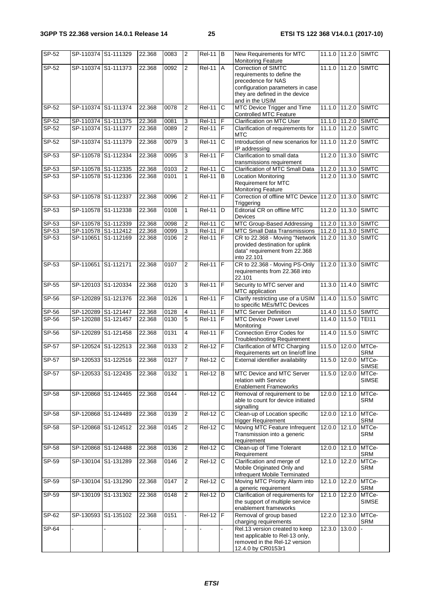| SP-52          | SP-110374 S1-111329                        |           | 22.368           | 0083         | $\overline{2}$      | $ReI-11$ B              |              | New Requirements for MTC<br><b>Monitoring Feature</b>                 |               | 11.1.0 11.2.0 SIMTC     |                              |
|----------------|--------------------------------------------|-----------|------------------|--------------|---------------------|-------------------------|--------------|-----------------------------------------------------------------------|---------------|-------------------------|------------------------------|
| SP-52          | SP-110374                                  | S1-111373 | 22.368           | 0092         | $\overline{2}$      | <b>Rel-11</b>           | A            | Correction of SIMTC                                                   |               | 11.1.0 11.2.0           | <b>SIMTC</b>                 |
|                |                                            |           |                  |              |                     |                         |              | requirements to define the<br>precedence for NAS                      |               |                         |                              |
|                |                                            |           |                  |              |                     |                         |              | configuration parameters in case                                      |               |                         |                              |
|                |                                            |           |                  |              |                     |                         |              | they are defined in the device                                        |               |                         |                              |
|                |                                            |           |                  |              |                     |                         |              | and in the USIM                                                       |               |                         |                              |
| SP-52          | SP-110374 S1-111374                        |           | 22.368           | 0078         | $\overline{c}$      | <b>Rel-11</b>           | C            | MTC Device Trigger and Time<br>Controlled MTC Feature                 |               | 11.1.0 11.2.0           | <b>SIMTC</b>                 |
| SP-52          | SP-110374 S1-111375                        |           | 22.368           | 0081         | 3                   | <b>Rel-11</b>           | F            | <b>Clarification on MTC User</b>                                      | 11.1.0        | $11.\overline{2.0}$     | <b>SIMTC</b>                 |
| SP-52          | SP-110374 S1-111377                        |           | 22.368           | 0089         | $\overline{2}$      | <b>Rel-11</b>           | F            | Clarification of requirements for                                     | 11.1.0        | 11.2.0                  | <b>SIMTC</b>                 |
|                |                                            |           |                  |              |                     |                         |              | MTC                                                                   |               |                         |                              |
| SP-52          | SP-110374 S1-111379                        |           | 22.368           | 0079         | 3                   | <b>Rel-11</b>           | C            | Introduction of new scenarios for 11.1.0 11.2.0<br>IP addressing      |               |                         | <b>SIMTC</b>                 |
| SP-53          | SP-110578                                  | S1-112334 | 22.368           | 0095         | 3                   | <b>Rel-11</b>           | F            | Clarification to small data<br>transmissions requirement              | 11.2.0        | 11.3.0                  | <b>SIMTC</b>                 |
| SP-53          | SP-110578 S1-112335                        |           | 22.368           | 0103         | $\overline{2}$      | $\overline{Rel}$ -11    | $\mathsf{C}$ | <b>Clarification of MTC Small Data</b>                                |               | 11.2.0 11.3.0           | <b>SIMTC</b>                 |
| SP-53          | SP-110578 S1-112336                        |           | 22.368           | 0101         | $\mathbf{1}$        | <b>Rel-11</b>           | l B          | <b>Location Monitoring</b>                                            |               | 11.2.0 11.3.0           | <b>SIMTC</b>                 |
|                |                                            |           |                  |              |                     |                         |              | Requirement for MTC                                                   |               |                         |                              |
| SP-53          | SP-110578 S1-112337                        |           | 22.368           | 0096         | $\overline{2}$      | <b>Rel-11</b>           | F            | <b>Monitoring Feature</b><br>Correction of offline MTC Device 11.2.0  |               | 11.3.0                  | <b>SIMTC</b>                 |
|                |                                            |           |                  |              |                     |                         |              | Triggering                                                            |               |                         |                              |
| SP-53          | SP-110578                                  | S1-112338 | 22.368           | 0108         | $\mathbf{1}$        | <b>Rel-11</b>           | D            | Editorial CR on offline MTC<br>Devices                                | 11.2.0        | 11.3.0                  | <b>SIMTC</b>                 |
| SP-53          | SP-110578 S1-112339                        |           | 22.368           | 0098         | $\overline{2}$      | <b>Rel-11</b>           | C            | MTC Group-Based Addressing                                            | 11.2.0        | $11.3.\overline{0}$     | <b>SIMTC</b>                 |
| SP-53<br>SP-53 | SP-110578 S1-112412<br>SP-110651 S1-112169 |           | 22.368<br>22.368 | 0099<br>0106 | 3<br>$\overline{2}$ | Rel-11<br><b>Rel-11</b> | F<br>IF      | MTC Small Data Transmissions<br>CR to 22.368 - Moving "Network        | 11.2.0        | 11.2.0 11.3.0<br>11.3.0 | <b>SIMTC</b><br><b>SIMTC</b> |
|                |                                            |           |                  |              |                     |                         |              | provided destination for uplink                                       |               |                         |                              |
|                |                                            |           |                  |              |                     |                         |              | data" requirement from 22.368                                         |               |                         |                              |
|                |                                            |           |                  |              |                     |                         |              | into 22.101                                                           |               |                         |                              |
| SP-53          | SP-110651                                  | S1-112171 | 22.368           | 0107         | $\overline{2}$      | <b>Rel-11</b>           | F            | CR to 22.368 - Moving PS-Only<br>requirements from 22.368 into        | 11.2.0        | 11.3.0                  | <b>SIMTC</b>                 |
|                |                                            |           |                  |              |                     |                         |              | 22.101                                                                |               |                         |                              |
| SP-55          | SP-120103 S1-120334                        |           | 22.368           | 0120         | 3                   | <b>Rel-11</b>           | F            | Security to MTC server and                                            |               | 11.3.0 11.4.0           | <b>SIMTC</b>                 |
|                |                                            |           |                  |              |                     |                         | F            | MTC application                                                       |               |                         |                              |
| SP-56          | SP-120289                                  | S1-121376 | 22.368           | 0126         | 1                   | <b>Rel-11</b>           |              | Clarify restricting use of a USIM<br>to specific MEs/MTC Devices      | 11.4.0        | 11.5.0                  | <b>SIMTC</b>                 |
| SP-56          | SP-120289                                  | S1-121447 | 22.368           | 0128         | 4                   | <b>Rel-11</b>           | F            | <b>MTC Server Definition</b>                                          |               | 11.4.0 11.5.0           | <b>SIMTC</b>                 |
| SP-56          | SP-120288 S1-121457                        |           | 22.368           | 0130         | $\overline{5}$      | <b>Rel-11</b>           | F            | <b>MTC Device Power Level</b>                                         |               | 11.4.0 11.5.0           | <b>TEI11</b>                 |
| SP-56          | SP-120289                                  | S1-121458 | 22.368           | 0131         | 4                   | <b>Rel-11</b>           | F            | Monitoring<br>Connection Error Codes for                              | 11.4.0        | 11.5.0                  | <b>SIMTC</b>                 |
|                |                                            |           |                  |              |                     |                         |              | <b>Troubleshooting Requirement</b>                                    |               |                         |                              |
| SP-57          | SP-120524                                  | S1-122513 | 22.368           | 0133         | $\overline{2}$      | <b>Rel-12</b>           | F            | Clarification of MTC Charging                                         |               | 11.5.0 12.0.0           | MTCe-                        |
| SP-57          | SP-120533 S1-122516                        |           | 22.368           | 0127         | 7                   | <b>Rel-12</b>           | $\mathbf C$  | Requirements wrt on line/off line<br>External identifier availability | 11.5.0        | 12.0.0                  | SRM                          |
|                |                                            |           |                  |              |                     |                         |              |                                                                       |               |                         | MTCe-<br><b>SIMSE</b>        |
| SP-57          | SP-120533 S1-122435                        |           | 22.368           | 0132         | $\overline{1}$      | $Rel-12$ B              |              | MTC Device and MTC Server                                             |               | 11.5.0 12.0.0 MTCe-     |                              |
|                |                                            |           |                  |              |                     |                         |              | relation with Service                                                 |               |                         | <b>SIMSE</b>                 |
| <b>SP-58</b>   | SP-120868 S1-124465                        |           | 22.368           | 0144         |                     | $Rel-12$                | $\mathbf C$  | <b>Enablement Frameworks</b><br>Removal of requirement to be          |               | 12.0.0 12.1.0           | MTCe-                        |
|                |                                            |           |                  |              |                     |                         |              | able to count for device initiated                                    |               |                         | <b>SRM</b>                   |
|                |                                            |           |                  |              |                     |                         |              | signalling                                                            |               |                         |                              |
| SP-58          | SP-120868                                  | S1-124489 | 22.368           | 0139         | $\overline{2}$      | Rel-12                  | C            | Clean-up of Location specific<br>trigger Requirement                  | 12.0.0        | 12.1.0                  | MTCe-<br>SRM                 |
| SP-58          | SP-120868 S1-124512                        |           | 22.368           | 0145         | $\overline{2}$      | Rel-12                  | C            | Moving MTC Feature Infrequent                                         | 12.0.0 12.1.0 |                         | MTCe-                        |
|                |                                            |           |                  |              |                     |                         |              | Transmission into a generic                                           |               |                         | <b>SRM</b>                   |
| SP-58          | SP-120868 S1-124488                        |           | 22.368           | 0136         | $\overline{2}$      | <b>Rel-12</b>           | $\mathsf{C}$ | requirement<br>Clean-up of Time Tolerant                              |               | 12.0.0 12.1.0           | MTCe-                        |
|                |                                            |           |                  |              |                     |                         |              | Requirement                                                           |               |                         | <b>SRM</b>                   |
| SP-59          | SP-130104 S1-131289                        |           | 22.368           | 0146         | $\overline{2}$      | Rel-12                  | $\mathsf{C}$ | Clarification and merge of                                            | 12.1.0 12.2.0 |                         | MTCe-                        |
|                |                                            |           |                  |              |                     |                         |              | Mobile Originated Only and<br>Infrequent Mobile Terminated            |               |                         | SRM                          |
| SP-59          | SP-130104 S1-131290                        |           | 22.368           | 0147         | 2                   | Rel-12                  | $\mathsf{C}$ | Moving MTC Priority Alarm into                                        |               | 12.1.0 12.2.0           | MTCe-                        |
|                |                                            |           |                  |              |                     |                         |              | a generic requirement                                                 |               |                         | <b>SRM</b>                   |
| SP-59          | SP-130109 S1-131302                        |           | 22.368           | 0148         | $\overline{2}$      | $Rel-12$ D              |              | Clarification of requirements for                                     | 12.1.0 12.2.0 |                         | MTCe-                        |
|                |                                            |           |                  |              |                     |                         |              | the support of multiple service<br>enablement frameworks              |               |                         | <b>SIMSE</b>                 |
| SP-62          | SP-130593 S1-135102                        |           | 22.368           | 0151         |                     | $Rel-12$ $F$            |              | Removal of group based                                                |               | 12.2.0 12.3.0           | MTCe-                        |
|                |                                            |           |                  |              |                     |                         |              | charging requirements                                                 |               |                         | <b>SRM</b>                   |
| SP-64          |                                            |           |                  |              |                     |                         |              | Rel.13 version created to keep<br>text applicable to Rel-13 only,     | 12.3.0        | 13.0.0                  |                              |
|                |                                            |           |                  |              |                     |                         |              | removed in the Rel-12 version                                         |               |                         |                              |
|                |                                            |           |                  |              |                     |                         |              | 12.4.0 by CR0153r1                                                    |               |                         |                              |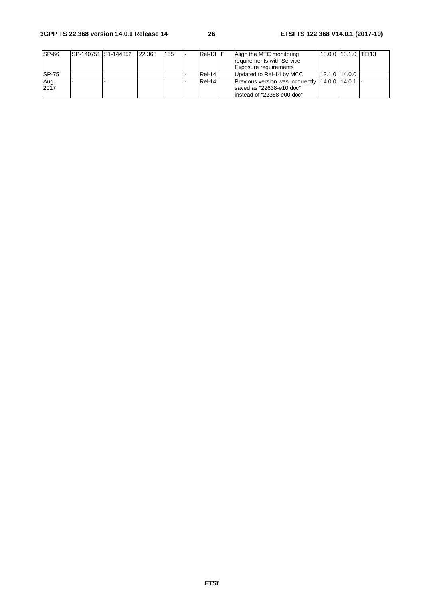### **3GPP TS 22.368 version 14.0.1 Release 14 26 ETSI TS 122 368 V14.0.1 (2017-10)**

| <b>SP-66</b> | ISP-140751 IS1-144352 | 22.368 | 155 | $Rel-13$ $F$ | Align the MTC monitoring                                | 13.0.0 13.1.0 TEI13 |  |
|--------------|-----------------------|--------|-----|--------------|---------------------------------------------------------|---------------------|--|
|              |                       |        |     |              | requirements with Service                               |                     |  |
|              |                       |        |     |              | Exposure requirements                                   |                     |  |
| <b>SP-75</b> |                       |        |     | Rel-14       | Updated to Rel-14 by MCC                                | $13.1.0$   14.0.0   |  |
| Aug.         |                       |        |     | Rel-14       | <b>Previous version was incorrectly 14.0.0 14.0.1 -</b> |                     |  |
| 2017         |                       |        |     |              | saved as "22638-e10.doc"                                |                     |  |
|              |                       |        |     |              | linstead of "22368-e00.doc"                             |                     |  |